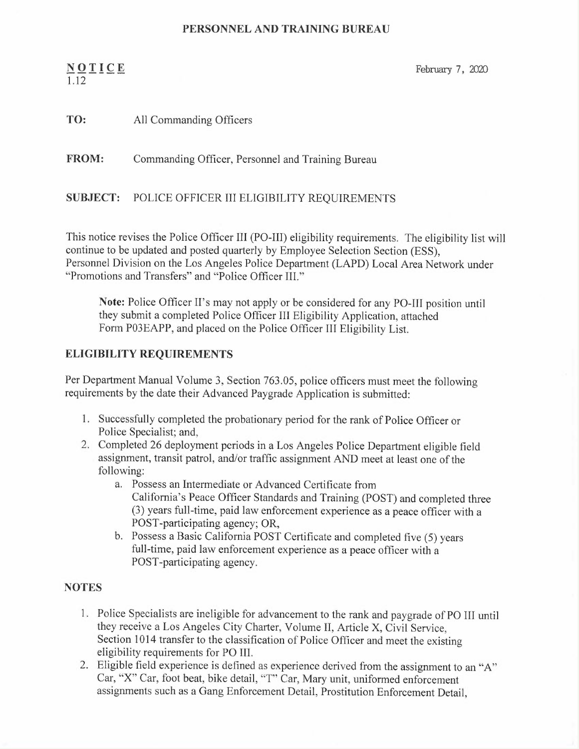#### PERSONNEL AND TRAINING BUREAU

### N OTICE 1.12

February 7, 2020

### <sup>T</sup>O: All Commanding Officers

<sup>F</sup>ROM: Commanding Officer, Personnel and Training Bureau

### SUBJECT: POLICE OFFICER III ELIGIBILITY REQUIREMENTS

<sup>T</sup>his notice revises the Police Officer III (PO-III) eligibility requirements. The eligibility list will <sup>c</sup>ontinue to be updated and posted quarterly by Employee Selection Section (ESS), <sup>P</sup>ersonnel Division on the Los Angeles Police Department (LAPD) Local Area Network under "Promotions and Transfers" and "Police Officer III."

<sup>N</sup>ote: Police Officer II's may not apply or be considered for any PO-III position until <sup>t</sup>hey submit a completed Police Officer III Eligibility Application, attached <sup>F</sup>orm P03EAPP, and placed on the Police Officer III Eligibility List.

### ELIGIBILITY REQUIREMENTS

<sup>P</sup>er Department Manual Volume 3, Section 763.05, police officers must meet the following <sup>r</sup>equirements by the date their Advanced Paygrade Application is submitted:

- 1. Successfully completed the probationary period for the rank of Police Officer or <sup>P</sup>olice Specialist; and,
- <sup>2</sup>. Completed 26 deployment periods in a Los Angeles Police Department eligible field <sup>a</sup>ssignment, transit patrol, and/or traffic assignment AND meet at least one of the following:
	- <sup>a</sup>. Possess an Intermediate or Advanced Certificate from <sup>C</sup>alifornia's Peace Officer Standards and Training (POST) and completed three (3) years full-time, paid law enforcement experience as a peace officer with <sup>a</sup> <sup>P</sup>OST-participating agency; OR,
	- <sup>b</sup>. Possess a Basic California POST Certificate and completed five (5) years full-time, paid law enforcement experience as a peace officer with <sup>a</sup> <sup>P</sup>OST-participating agency.

### **NOTES**

- <sup>1</sup>. Police Specialists are ineligible for advancement to the rank and paygrade of PO III until <sup>t</sup>hey receive a Los Angeles City Charter, Volume II, Article X, Civil Service, <sup>S</sup>ection 1014 transfer to the classification of Police Officer and meet the existing <sup>e</sup>ligibility requirements for PO III.
- <sup>2</sup>. Eligible field experience is defined as experience derived from the assignment to an"A" <sup>C</sup>ar, "X" Car, foot beat, bike detail, "T" Car, Mary unit, uniformed enforcement <sup>a</sup>ssignments such as a Gang Enforcement Detail, Prostitution Enforcement Detail,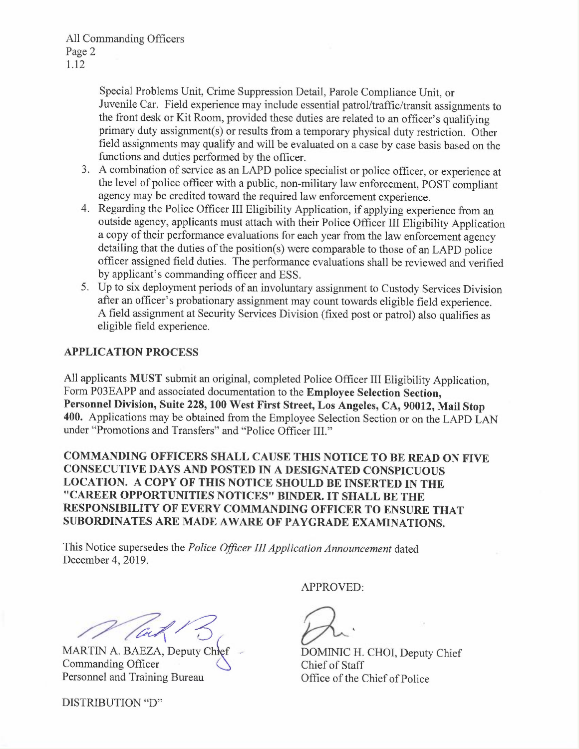Special Problems Unit, Crime Suppression Detail, Parole Compliance Unit, or <sup>J</sup>uvenile Car. Field experience may include essential patrol/traffic/transit assignments to <sup>t</sup>he front desk or Kit Room, provided these duties are related to an officer's qualifying primary duty assignment(s) or results from a temporary physical duty restriction. Other <sup>f</sup>ield assignments may qualify and will be evaluated on a case by case basis based on the functions and duties performed by the officer.

- <sup>3</sup>. A combination of service as an LAPD police specialist or police officer, or experience at <sup>t</sup>he level of police officer with a public, non-military law enforcement, POST compliant <sup>a</sup>gency may be credited toward the required law enforcement experience.
- <sup>4</sup>. Regarding the Police Officer III Eligibility Application, if applying experience from an <sup>o</sup>utside agency, applicants must attach with their Police Officer III Eligibility Application <sup>a</sup> copy of their performance evaluations for each year from the law enforcement agency detailing that the duties of the position(s) were comparable to those of an LAPD police <sup>o</sup>fficer assigned field duties. The performance evaluations shall be reviewed and verified by applicant's commanding officer and ESS.
- <sup>5</sup>. Up to six deployment periods of an involuntary assignment to Custody Services Division <sup>a</sup>fter an officer's probationary assignment may count towards eligible field experience. <sup>A</sup> field assignment at Security Services Division (fixed post or patrol) also qualifies as <sup>e</sup>ligible field experience.

### APPLICATION PROCESS

<sup>A</sup>ll applicants MUST submit an original, completed Police Officer III Eligibility Application, <sup>F</sup>orm P03EAPP and associated documentation to the Employee Selection Section, <sup>P</sup>ersonnel Division, Suite 228, 100 West First Street, Los Angeles, CA, 90012, Mail Stop <sup>4</sup>00. Applications may be obtained from the Employee Selection Section or on the LAPD LAN <sup>u</sup>nder "Promotions and Transfers" and "Police Officer III."

<sup>C</sup>OMMANDING OFFICERS SHALL CAUSE THIS NOTICE TO BE READ ON FIVE CONSECUTIVE DAYS AND POSTED IN A DESIGNATED CONSPICUOUS LOCATION. A COPY OF THIS NOTICE SHOULD BE INSERTED IN THE "CAREER OPPORTUNITIES NOTICES" BINDER. IT SHALL BE THE <sup>R</sup>ESPONSIBILITY OF EVERY COMMANDING OFFICER TO ENSURE THAT SUBORDINATES ARE MADE AWARE OF PAYGRADE EXAMINATIONS.

This Notice supersedes the Police Officer III Application Announcement dated December 4, 2019.

 $a\mathbb{Z}^{\prime}\rightarrow$ 

MARTIN A. BAEZA, Deputy Chlef Commanding Officer <sup>P</sup>ersonnel and Training Bureau

DISTRIBUTION "D"

APPROVED:

DOMINIC H. CHOI, Deputy Chief Chief of Staff Office of the Chief of Police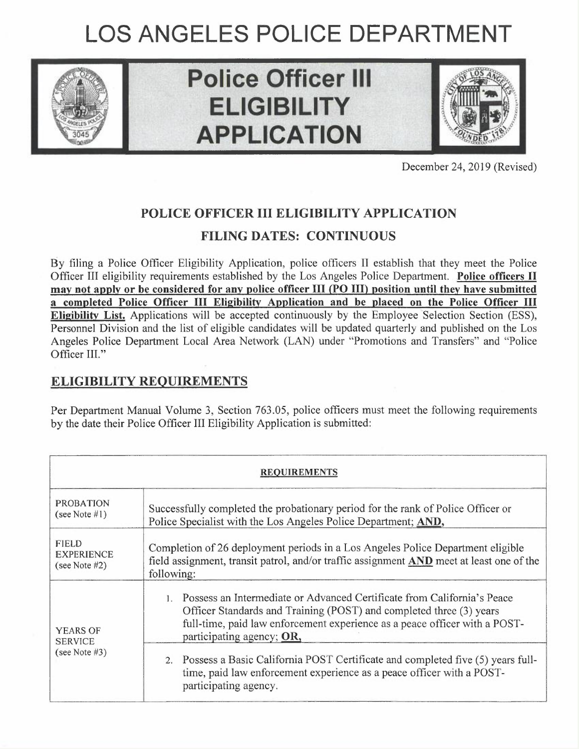# LOS ANGELES POLICE DEPARTMENT



## Police Officer III **ELIGIBILITY APPLICATION APPLICATION**



December 24, 2019 (Revised)

## POLICE OFFICER III ELIGIBILITY APPLICATION

## FILING DATES: CONTINUOUS

By filing a Police Officer Eligibility Application, police officers II establish that they meet the Police Officer III eligibility requirements established by the Los Angeles Police Department. Police officers II may not apply or be considered for any police officer III (PO III) position until they have submitted a completed Police Officer III Eligibility Application and be placed on the Police Officer III Eligibility List. Applications will be accepted continuously by the Employee Selection Section (ESS), Personnel Division and the list of eligible candidates will be updated quarterly and published on the Los Angeles Police Department Local Area Network (LAN) under "Promotions and Transfers" and "Police Officer III."

## ELIGIBILITY REQUIREMENTS

Per Department Manual Volume 3, Section 763.05, police officers must meet the following requirements by the date their Police Officer III Eligibility Application is submitted:

| <b>REQUIREMENTS</b>                                   |                                                                                                                                                                                                                                                                                                                                                   |  |  |  |  |  |  |
|-------------------------------------------------------|---------------------------------------------------------------------------------------------------------------------------------------------------------------------------------------------------------------------------------------------------------------------------------------------------------------------------------------------------|--|--|--|--|--|--|
| <b>PROBATION</b><br>(see Note $#1$ )                  | Successfully completed the probationary period for the rank of Police Officer or<br>Police Specialist with the Los Angeles Police Department; AND,                                                                                                                                                                                                |  |  |  |  |  |  |
| <b>FIELD</b><br><b>EXPERIENCE</b><br>(see Note $#2$ ) | Completion of 26 deployment periods in a Los Angeles Police Department eligible<br>field assignment, transit patrol, and/or traffic assignment AND meet at least one of the<br>following:                                                                                                                                                         |  |  |  |  |  |  |
| <b>YEARS OF</b><br><b>SERVICE</b><br>(see Note $#3$ ) | 1. Possess an Intermediate or Advanced Certificate from California's Peace<br>Officer Standards and Training (POST) and completed three (3) years<br>full-time, paid law enforcement experience as a peace officer with a POST-<br>participating agency; OR,<br>2. Possess a Basic California POST Certificate and completed five (5) years full- |  |  |  |  |  |  |
|                                                       | time, paid law enforcement experience as a peace officer with a POST-<br>participating agency.                                                                                                                                                                                                                                                    |  |  |  |  |  |  |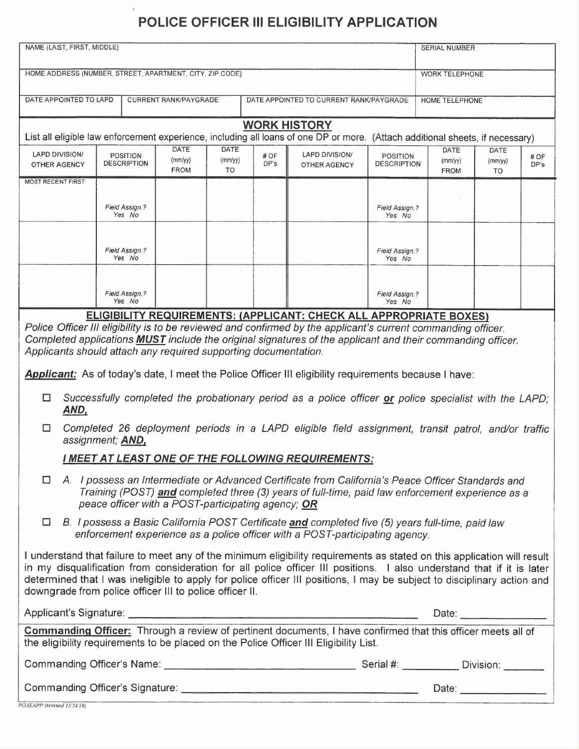## POLICE OFFICER III ELIGIBILITY APPLICATION

¥

| NAME (LAST, FIRST, MIDDLE)                                                                                                                                                                                                                                                                                                                                                                                                             |                              |                                       |                                |                                         |              | SERIAL NUMBER                                                                                                                 |                                       |                                |                              |              |
|----------------------------------------------------------------------------------------------------------------------------------------------------------------------------------------------------------------------------------------------------------------------------------------------------------------------------------------------------------------------------------------------------------------------------------------|------------------------------|---------------------------------------|--------------------------------|-----------------------------------------|--------------|-------------------------------------------------------------------------------------------------------------------------------|---------------------------------------|--------------------------------|------------------------------|--------------|
| HOME ADDRESS (NUMBER, STREET, APARTMENT, CITY, ZIP CODE)                                                                                                                                                                                                                                                                                                                                                                               |                              |                                       |                                |                                         |              |                                                                                                                               | <b>WORK TELEPHONE</b>                 |                                |                              |              |
| DATE APPOINTED TO LAPD                                                                                                                                                                                                                                                                                                                                                                                                                 | <b>CURRENT RANK/PAYGRADE</b> |                                       |                                | DATE APPOINTED TO CURRENT RANK/PAYGRADE |              |                                                                                                                               | <b>HOME TELEPHONE</b>                 |                                |                              |              |
| <b>WORK HISTORY</b>                                                                                                                                                                                                                                                                                                                                                                                                                    |                              |                                       |                                |                                         |              |                                                                                                                               |                                       |                                |                              |              |
|                                                                                                                                                                                                                                                                                                                                                                                                                                        |                              |                                       |                                |                                         |              | List all eligible law enforcement experience, including all loans of one DP or more. (Attach additional sheets, if necessary) |                                       |                                |                              |              |
| LAPD DIVISION/<br><b>OTHER AGENCY</b>                                                                                                                                                                                                                                                                                                                                                                                                  |                              | <b>POSITION</b><br><b>DESCRIPTION</b> | DATE<br>(mm/yy)<br><b>FROM</b> | DATE<br>(mm/yy)<br><b>TO</b>            | # OF<br>DP's | LAPD DIVISION/<br>OTHER AGENCY                                                                                                | <b>POSITION</b><br><b>DESCRIPTION</b> | DATE<br>(mm/yy)<br><b>FROM</b> | DATE<br>(mm/yy)<br><b>TO</b> | # OF<br>DP's |
| <b>MOST RECENT FIRST:</b>                                                                                                                                                                                                                                                                                                                                                                                                              |                              |                                       |                                |                                         |              |                                                                                                                               |                                       |                                |                              |              |
|                                                                                                                                                                                                                                                                                                                                                                                                                                        |                              | Field Assign.?<br>Yes No              |                                |                                         |              |                                                                                                                               | Field Assign.?<br>Yes No              |                                |                              |              |
|                                                                                                                                                                                                                                                                                                                                                                                                                                        |                              | Field Assign.?<br>Yes No              |                                |                                         |              |                                                                                                                               | Field Assign.?<br>Yes No              |                                |                              |              |
|                                                                                                                                                                                                                                                                                                                                                                                                                                        |                              | Field Assign.?<br>Yes No              |                                |                                         |              |                                                                                                                               | Field Assign.?<br>Yes No              |                                |                              |              |
| <b>Applicant:</b> As of today's date, I meet the Police Officer III eligibility requirements because I have:<br>Successfully completed the probationary period as a police officer or police specialist with the LAPD;<br>□                                                                                                                                                                                                            |                              |                                       |                                |                                         |              |                                                                                                                               |                                       |                                |                              |              |
|                                                                                                                                                                                                                                                                                                                                                                                                                                        | AND,                         |                                       |                                |                                         |              |                                                                                                                               |                                       |                                |                              |              |
| Completed 26 deployment periods in a LAPD eligible field assignment, transit patrol, and/or traffic<br>□<br>assignment; AND,                                                                                                                                                                                                                                                                                                           |                              |                                       |                                |                                         |              |                                                                                                                               |                                       |                                |                              |              |
|                                                                                                                                                                                                                                                                                                                                                                                                                                        |                              |                                       |                                |                                         |              | I MEET AT LEAST ONE OF THE FOLLOWING REQUIREMENTS:                                                                            |                                       |                                |                              |              |
| A. I possess an Intermediate or Advanced Certificate from California's Peace Officer Standards and<br>□<br>Training (POST) and completed three (3) years of full-time, paid law enforcement experience as a<br>peace officer with a POST-participating agency; OR                                                                                                                                                                      |                              |                                       |                                |                                         |              |                                                                                                                               |                                       |                                |                              |              |
| B. I possess a Basic California POST Certificate and completed five (5) years full-time, paid law<br>□<br>enforcement experience as a police officer with a POST-participating agency.                                                                                                                                                                                                                                                 |                              |                                       |                                |                                         |              |                                                                                                                               |                                       |                                |                              |              |
| I understand that failure to meet any of the minimum eligibility requirements as stated on this application will result<br>in my disqualification from consideration for all police officer III positions. I also understand that if it is later<br>determined that I was ineligible to apply for police officer III positions, I may be subject to disciplinary action and<br>downgrade from police officer III to police officer II. |                              |                                       |                                |                                         |              |                                                                                                                               |                                       |                                |                              |              |
| Date: <b>Date:</b>                                                                                                                                                                                                                                                                                                                                                                                                                     |                              |                                       |                                |                                         |              |                                                                                                                               |                                       |                                |                              |              |
| Commanding Officer: Through a review of pertinent documents, I have confirmed that this officer meets all of<br>the eligibility requirements to be placed on the Police Officer III Eligibility List.                                                                                                                                                                                                                                  |                              |                                       |                                |                                         |              |                                                                                                                               |                                       |                                |                              |              |

| Commanding Officer's Name:      | Serial #. | Division:         |
|---------------------------------|-----------|-------------------|
| Commanding Officer's Signature: |           | Date <sup>-</sup> |